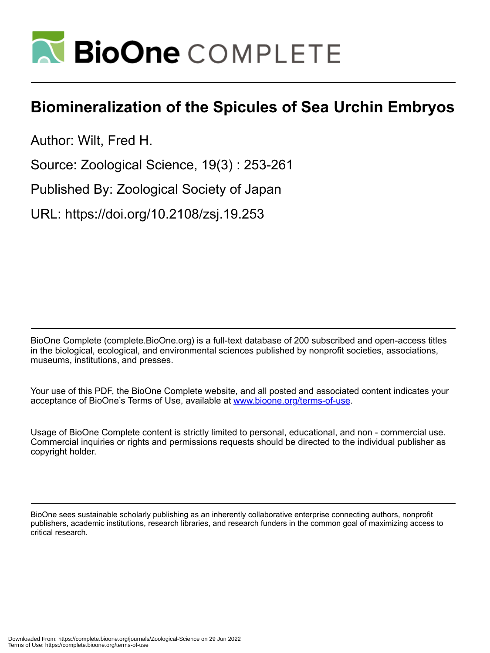

# **Biomineralization of the Spicules of Sea Urchin Embryos**

Author: Wilt, Fred H.

Source: Zoological Science, 19(3) : 253-261

Published By: Zoological Society of Japan

URL: https://doi.org/10.2108/zsj.19.253

BioOne Complete (complete.BioOne.org) is a full-text database of 200 subscribed and open-access titles in the biological, ecological, and environmental sciences published by nonprofit societies, associations, museums, institutions, and presses.

Your use of this PDF, the BioOne Complete website, and all posted and associated content indicates your acceptance of BioOne's Terms of Use, available at www.bioone.org/terms-of-use.

Usage of BioOne Complete content is strictly limited to personal, educational, and non - commercial use. Commercial inquiries or rights and permissions requests should be directed to the individual publisher as copyright holder.

BioOne sees sustainable scholarly publishing as an inherently collaborative enterprise connecting authors, nonprofit publishers, academic institutions, research libraries, and research funders in the common goal of maximizing access to critical research.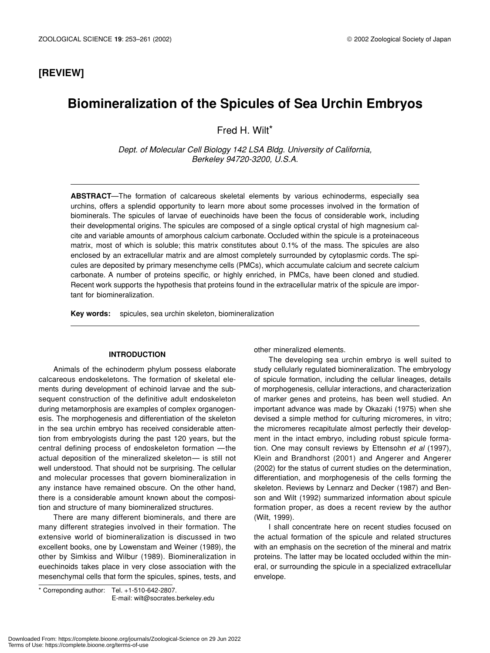### **[REVIEW]**

## **Biomineralization of the Spicules of Sea Urchin Embryos**

Fred H. Wilt\*

*Dept. of Molecular Cell Biology 142 LSA Bldg. University of California, Berkeley 94720-3200, U.S.A.*

**ABSTRACT**—The formation of calcareous skeletal elements by various echinoderms, especially sea urchins, offers a splendid opportunity to learn more about some processes involved in the formation of biominerals. The spicules of larvae of euechinoids have been the focus of considerable work, including their developmental origins. The spicules are composed of a single optical crystal of high magnesium calcite and variable amounts of amorphous calcium carbonate. Occluded within the spicule is a proteinaceous matrix, most of which is soluble; this matrix constitutes about 0.1% of the mass. The spicules are also enclosed by an extracellular matrix and are almost completely surrounded by cytoplasmic cords. The spicules are deposited by primary mesenchyme cells (PMCs), which accumulate calcium and secrete calcium carbonate. A number of proteins specific, or highly enriched, in PMCs, have been cloned and studied. Recent work supports the hypothesis that proteins found in the extracellular matrix of the spicule are important for biomineralization.

**Key words:** spicules, sea urchin skeleton, biomineralization

#### **INTRODUCTION**

Animals of the echinoderm phylum possess elaborate calcareous endoskeletons. The formation of skeletal elements during development of echinoid larvae and the subsequent construction of the definitive adult endoskeleton during metamorphosis are examples of complex organogenesis. The morphogenesis and differentiation of the skeleton in the sea urchin embryo has received considerable attention from embryologists during the past 120 years, but the central defining process of endoskeleton formation —the actual deposition of the mineralized skeleton— is still not well understood. That should not be surprising. The cellular and molecular processes that govern biomineralization in any instance have remained obscure. On the other hand, there is a considerable amount known about the composition and structure of many biomineralized structures.

There are many different biominerals, and there are many different strategies involved in their formation. The extensive world of biomineralization is discussed in two excellent books, one by Lowenstam and Weiner (1989), the other by Simkiss and Wilbur (1989). Biomineralization in euechinoids takes place in very close association with the mesenchymal cells that form the spicules, spines, tests, and

\* Correponding author: Tel. +1-510-642-2807.

other mineralized elements.

The developing sea urchin embryo is well suited to study cellularly regulated biomineralization. The embryology of spicule formation, including the cellular lineages, details of morphogenesis, cellular interactions, and characterization of marker genes and proteins, has been well studied. An important advance was made by Okazaki (1975) when she devised a simple method for culturing micromeres, in vitro; the micromeres recapitulate almost perfectly their development in the intact embryo, including robust spicule formation. One may consult reviews by Ettensohn *et al* (1997), Klein and Brandhorst (2001) and Angerer and Angerer (2002) for the status of current studies on the determination, differentiation, and morphogenesis of the cells forming the skeleton. Reviews by Lennarz and Decker (1987) and Benson and Wilt (1992) summarized information about spicule formation proper, as does a recent review by the author (Wilt, 1999).

I shall concentrate here on recent studies focused on the actual formation of the spicule and related structures with an emphasis on the secretion of the mineral and matrix proteins. The latter may be located occluded within the mineral, or surrounding the spicule in a specialized extracellular envelope.

E-mail: wilt@socrates.berkeley.edu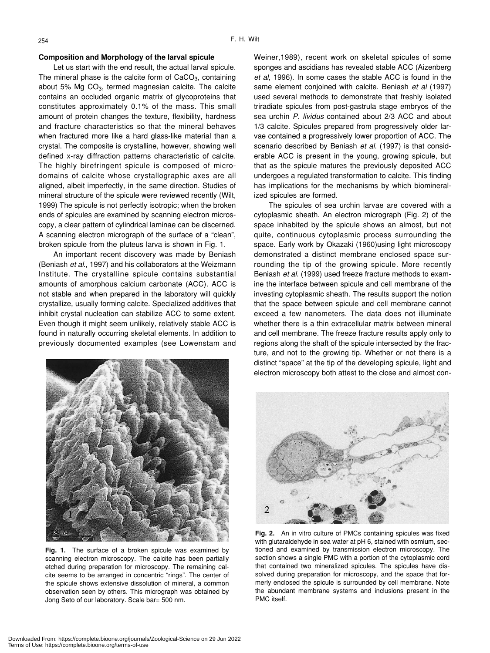#### **Composition and Morphology of the larval spicule**

Let us start with the end result, the actual larval spicule. The mineral phase is the calcite form of  $CaCO<sub>3</sub>$ , containing about  $5\%$  Mg  $CO<sub>3</sub>$ , termed magnesian calcite. The calcite contains an occluded organic matrix of glycoproteins that constitutes approximately 0.1% of the mass. This small amount of protein changes the texture, flexibility, hardness and fracture characteristics so that the mineral behaves when fractured more like a hard glass-like material than a crystal. The composite is crystalline, however, showing well defined x-ray diffraction patterns characteristic of calcite. The highly birefringent spicule is composed of microdomains of calcite whose crystallographic axes are all aligned, albeit imperfectly, in the same direction. Studies of mineral structure of the spicule were reviewed recently (Wilt, 1999) The spicule is not perfectly isotropic; when the broken ends of spicules are examined by scanning electron microscopy, a clear pattern of cylindrical laminae can be discerned. A scanning electron micrograph of the surface of a "clean", broken spicule from the pluteus larva is shown in Fig. 1.

An important recent discovery was made by Beniash (Beniash *et al*., 1997) and his collaborators at the Weizmann Institute. The crystalline spicule contains substantial amounts of amorphous calcium carbonate (ACC). ACC is not stable and when prepared in the laboratory will quickly crystallize, usually forming calcite. Specialized additives that inhibit crystal nucleation can stabilize ACC to some extent. Even though it might seem unlikely, relatively stable ACC is found in naturally occurring skeletal elements. In addition to previously documented examples (see Lowenstam and



**Fig. 1.** The surface of a broken spicule was examined by scanning electron microscopy. The calcite has been partially etched during preparation for microscopy. The remaining calcite seems to be arranged in concentric "rings". The center of the spicule shows extensive dissolution of mineral, a common observation seen by others. This micrograph was obtained by Jong Seto of our laboratory. Scale bar= 500 nm.

Weiner,1989), recent work on skeletal spicules of some sponges and ascidians has revealed stable ACC (Aizenberg *et al*, 1996). In some cases the stable ACC is found in the same element conjoined with calcite. Beniash *et al* (1997) used several methods to demonstrate that freshly isolated triradiate spicules from post-gastrula stage embryos of the sea urchin *P. lividus* contained about 2/3 ACC and about 1/3 calcite. Spicules prepared from progressively older larvae contained a progressively lower proportion of ACC. The scenario described by Beniash *et al*. (1997) is that considerable ACC is present in the young, growing spicule, but that as the spicule matures the previously deposited ACC undergoes a regulated transformation to calcite. This finding has implications for the mechanisms by which biomineralized spicules are formed.

The spicules of sea urchin larvae are covered with a cytoplasmic sheath. An electron micrograph (Fig. 2) of the space inhabited by the spicule shows an almost, but not quite, continuous cytoplasmic process surrounding the space. Early work by Okazaki (1960)using light microscopy demonstrated a distinct membrane enclosed space surrounding the tip of the growing spicule. More recently Beniash *et al*. (1999) used freeze fracture methods to examine the interface between spicule and cell membrane of the investing cytoplasmic sheath. The results support the notion that the space between spicule and cell membrane cannot exceed a few nanometers. The data does not illuminate whether there is a thin extracellular matrix between mineral and cell membrane. The freeze fracture results apply only to regions along the shaft of the spicule intersected by the fracture, and not to the growing tip. Whether or not there is a distinct "space" at the tip of the developing spicule, light and electron microscopy both attest to the close and almost con-



**Fig. 2.** An in vitro culture of PMCs containing spicules was fixed with glutaraldehyde in sea water at pH 6, stained with osmium, sectioned and examined by transmission electron microscopy. The section shows a single PMC with a portion of the cytoplasmic cord that contained two mineralized spicules. The spicules have dissolved during preparation for microscopy, and the space that formerly enclosed the spicule is surrounded by cell membrane. Note the abundant membrane systems and inclusions present in the PMC itself.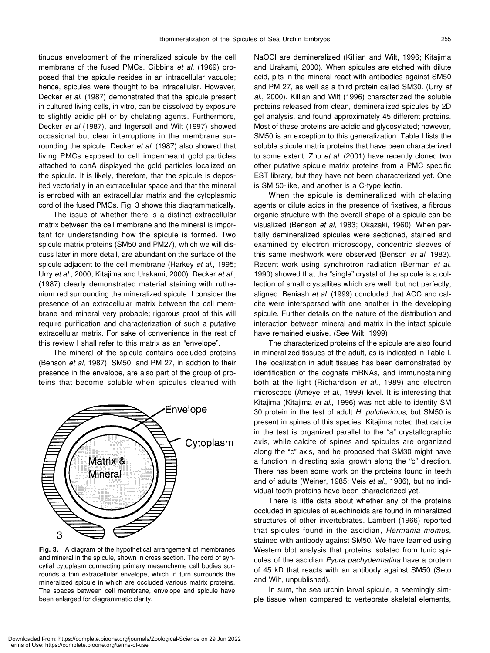tinuous envelopment of the mineralized spicule by the cell membrane of the fused PMCs. Gibbins *et al*. (1969) proposed that the spicule resides in an intracellular vacuole; hence, spicules were thought to be intracellular. However, Decker *et al*. (1987) demonstrated that the spicule present in cultured living cells, in vitro, can be dissolved by exposure to slightly acidic pH or by chelating agents. Furthermore, Decker *et al* (1987), and Ingersoll and Wilt (1997) showed occasional but clear interruptions in the membrane surrounding the spicule. Decker *et al*. (1987) also showed that living PMCs exposed to cell impermeant gold particles attached to conA displayed the gold particles localized on the spicule. It is likely, therefore, that the spicule is deposited vectorially in an extracellular space and that the mineral is enrobed with an extracellular matrix and the cytoplasmic cord of the fused PMCs. Fig. 3 shows this diagrammatically.

The issue of whether there is a distinct extracellular matrix between the cell membrane and the mineral is important for understanding how the spicule is formed. Two spicule matrix proteins (SM50 and PM27), which we will discuss later in more detail, are abundant on the surface of the spicule adjacent to the cell membrane (Harkey *et al*., 1995; Urry *et al*., 2000; Kitajima and Urakami, 2000). Decker *et al*., (1987) clearly demonstrated material staining with ruthenium red surrounding the mineralized spicule. I consider the presence of an extracellular matrix between the cell membrane and mineral very probable; rigorous proof of this will require purification and characterization of such a putative extracellular matrix. For sake of convenience in the rest of this review I shall refer to this matrix as an "envelope".

The mineral of the spicule contains occluded proteins (Benson *et al*, 1987). SM50, and PM 27, in addtion to their presence in the envelope, are also part of the group of proteins that become soluble when spicules cleaned with



**Fig. 3.** A diagram of the hypothetical arrangement of membranes and mineral in the spicule, shown in cross section. The cord of syncytial cytoplasm connecting primary mesenchyme cell bodies surrounds a thin extracellular envelope, which in turn surrounds the mineralized spicule in which are occluded various matrix proteins. The spaces between cell membrane, envelope and spicule have been enlarged for diagrammatic clarity.

NaOCl are demineralized (Killian and Wilt, 1996; Kitajima and Urakami, 2000). When spicules are etched with dilute acid, pits in the mineral react with antibodies against SM50 and PM 27, as well as a third protein called SM30. (Urry *et al*., 2000). Killian and Wilt (1996) characterized the soluble proteins released from clean, demineralized spicules by 2D gel analysis, and found approximately 45 different proteins. Most of these proteins are acidic and glycosylated; however, SM50 is an exception to this generalization. Table I lists the soluble spicule matrix proteins that have been characterized to some extent. Zhu *et al*. (2001) have recently cloned two other putative spicule matrix proteins from a PMC specific EST library, but they have not been characterized yet. One is SM 50-like, and another is a C-type lectin.

When the spicule is demineralized with chelating agents or dilute acids in the presence of fixatives, a fibrous organic structure with the overall shape of a spicule can be visualized (Benson *et al*, 1983; Okazaki, 1960). When partially demineralized spicules were sectioned, stained and examined by electron microscopy, concentric sleeves of this same meshwork were observed (Benson *et al*. 1983). Recent work using synchrotron radiation (Berman *et al*. 1990) showed that the "single" crystal of the spicule is a collection of small crystallites which are well, but not perfectly, aligned. Beniash *et al*. (1999) concluded that ACC and calcite were interspersed with one another in the developing spicule. Further details on the nature of the distribution and interaction between mineral and matrix in the intact spicule have remained elusive. (See Wilt, 1999)

The characterized proteins of the spicule are also found in mineralized tissues of the adult, as is indicated in Table I. The localization in adult tissues has been demonstrated by identification of the cognate mRNAs, and immunostaining both at the light (Richardson *et al*., 1989) and electron microscope (Ameye *et al*., 1999) level. It is interesting that Kitajima (Kitajima *et al*., 1996) was not able to identify SM 30 protein in the test of adult *H. pulcherimus*, but SM50 is present in spines of this species. Kitajima noted that calcite in the test is organized parallel to the "a" crystallographic axis, while calcite of spines and spicules are organized along the "c" axis, and he proposed that SM30 might have a function in directing axial growth along the "c" direction. There has been some work on the proteins found in teeth and of adults (Weiner, 1985; Veis *et al*., 1986), but no individual tooth proteins have been characterized yet.

There is little data about whether any of the proteins occluded in spicules of euechinoids are found in mineralized structures of other invertebrates. Lambert (1966) reported that spicules found in the ascidian, *Hermania momus*, stained with antibody against SM50. We have learned using Western blot analysis that proteins isolated from tunic spicules of the ascidian *Pyura pachydermatina* have a protein of 45 kD that reacts with an antibody against SM50 (Seto and Wilt, unpublished).

In sum, the sea urchin larval spicule, a seemingly simple tissue when compared to vertebrate skeletal elements,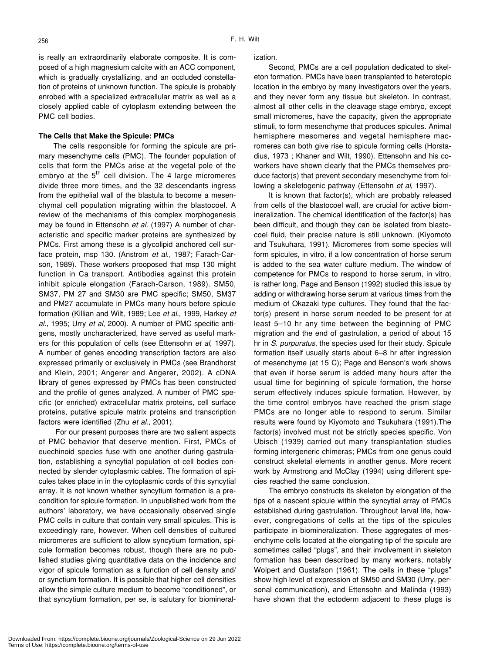is really an extraordinarily elaborate composite. It is composed of a high magnesium calcite with an ACC component, which is gradually crystallizing, and an occluded constellation of proteins of unknown function. The spicule is probably enrobed with a specialized extracellular matrix as well as a closely applied cable of cytoplasm extending between the PMC cell bodies.

#### **The Cells that Make the Spicule: PMCs**

The cells responsible for forming the spicule are primary mesenchyme cells (PMC). The founder population of cells that form the PMCs arise at the vegetal pole of the embryo at the  $5<sup>th</sup>$  cell division. The 4 large micromeres divide three more times, and the 32 descendants ingress from the epithelial wall of the blastula to become a mesenchymal cell population migrating within the blastocoel. A review of the mechanisms of this complex morphogenesis may be found in Ettensohn *et al*. (1997) A number of characteristic and specific marker proteins are synthesized by PMCs. First among these is a glycolipid anchored cell surface protein, msp 130. (Anstrom *et al*., 1987; Farach-Carson, 1989). These workers prooposed that msp 130 might function in Ca transport. Antibodies against this protein inhibit spicule elongation (Farach-Carson, 1989). SM50, SM37, PM 27 and SM30 are PMC specific; SM50, SM37 and PM27 accumulate in PMCs many hours before spicule formation (Killian and Wilt, 1989; Lee *et al*., 1999, Harkey *et al*., 1995; Urry *et al*, 2000). A number of PMC specific antigens, mostly uncharacterized, have served as useful markers for this population of cells (see Ettensohn *et al*, 1997). A number of genes encoding transcription factors are also expressed primarily or exclusively in PMCs (see Brandhorst and Klein, 2001; Angerer and Angerer, 2002). A cDNA library of genes expressed by PMCs has been constructed and the profile of genes analyzed. A number of PMC specific (or enriched) extracellular matrix proteins, cell surface proteins, putative spicule matrix proteins and transcription factors were identified (Zhu *et al*., 2001).

 For our present purposes there are two salient aspects of PMC behavior that deserve mention. First, PMCs of euechinoid species fuse with one another during gastrulation, establishing a syncytial population of cell bodies connected by slender cytoplasmic cables. The formation of spicules takes place in in the cytoplasmic cords of this syncytial array. It is not known whether syncytium formation is a precondition for spicule formation. In unpublished work from the authors' laboratory, we have occasionally observed single PMC cells in culture that contain very small spicules. This is exceedingly rare, however. When cell densities of cultured micromeres are sufficient to allow syncytium formation, spicule formation becomes robust, though there are no published studies giving quantitative data on the incidence and vigor of spicule formation as a function of cell density and/ or synctium formation. It is possible that higher cell densities allow the simple culture medium to become "conditioned", or that syncytium formation, per se, is salutary for biomineralization.

Second, PMCs are a cell population dedicated to skeleton formation. PMCs have been transplanted to heterotopic location in the embryo by many investigators over the years, and they never form any tissue but skeleton. In contrast, almost all other cells in the cleavage stage embryo, except small micromeres, have the capacity, given the appropriate stimuli, to form mesenchyme that produces spicules. Animal hemisphere mesomeres and vegetal hemisphere macromeres can both give rise to spicule forming cells (Horstadius, 1973 ; Khaner and Wilt, 1990). Ettensohn and his coworkers have shown clearly that the PMCs themselves produce factor(s) that prevent secondary mesenchyme from following a skeletogenic pathway (Ettensohn *et al*, 1997).

It is known that factor(s), which are probably released from cells of the blastocoel wall, are crucial for active biomineralization. The chemical identification of the factor(s) has been difficult, and though they can be isolated from blastocoel fluid, their precise nature is still unknown. (Kiyomoto and Tsukuhara, 1991). Micromeres from some species will form spicules, in vitro, if a low concentration of horse serum is added to the sea water culture medium. The window of competence for PMCs to respond to horse serum, in vitro, is rather long. Page and Benson (1992) studied this issue by adding or withdrawing horse serum at various times from the medium of Okazaki type cultures. They found that the factor(s) present in horse serum needed to be present for at least 5–10 hr any time between the beginning of PMC migration and the end of gastrulation, a period of about 15 hr in *S. purpuratus*, the species used for their study. Spicule formation itself usually starts about 6–8 hr after ingression of mesenchyme (at 15 C); Page and Benson's work shows that even if horse serum is added many hours after the usual time for beginning of spicule formation, the horse serum effectively induces spicule formation. However, by the time control embryos have reached the prism stage PMCs are no longer able to respond to serum. Similar results were found by Kiyomoto and Tsukuhara (1991).The factor(s) involved must not be strictly species specific. Von Ubisch (1939) carried out many transplantation studies forming intergeneric chimeras; PMCs from one genus could construct skeletal elements in another genus. More recent work by Armstrong and McClay (1994) using different species reached the same conclusion.

The embryo constructs its skeleton by elongation of the tips of a nascent spicule within the syncytial array of PMCs established during gastrulation. Throughout larval life, however, congregations of cells at the tips of the spicules participate in biomineralization. These aggregates of mesenchyme cells located at the elongating tip of the spicule are sometimes called "plugs", and their involvement in skeleton formation has been described by many workers, notably Wolpert and Gustafson (1961). The cells in these "plugs" show high level of expression of SM50 and SM30 (Urry, personal communication), and Ettensohn and Malinda (1993) have shown that the ectoderm adjacent to these plugs is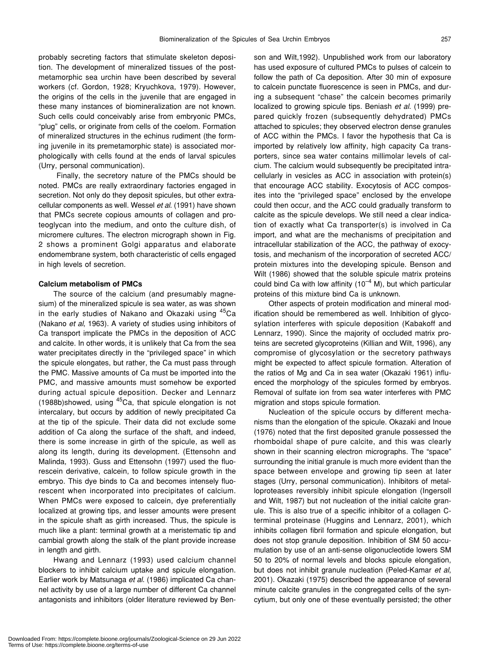probably secreting factors that stimulate skeleton deposition. The development of mineralized tissues of the postmetamorphic sea urchin have been described by several workers (cf. Gordon, 1928; Kryuchkova, 1979). However, the origins of the cells in the juvenile that are engaged in these many instances of biomineralization are not known. Such cells could conceivably arise from embryonic PMCs, "plug" cells, or originate from cells of the coelom. Formation of mineralized structures in the echinus rudiment (the forming juvenile in its premetamorphic state) is associated morphologically with cells found at the ends of larval spicules (Urry, personal communication).

 Finally, the secretory nature of the PMCs should be noted. PMCs are really extraordinary factories engaged in secretion. Not only do they deposit spicules, but other extracellular components as well. Wessel *et al*. (1991) have shown that PMCs secrete copious amounts of collagen and proteoglycan into the medium, and onto the culture dish, of micromere cultures. The electron micrograph shown in Fig. 2 shows a prominent Golgi apparatus and elaborate endomembrane system, both characteristic of cells engaged in high levels of secretion.

#### **Calcium metabolism of PMCs**

The source of the calcium (and presumably magnesium) of the mineralized spicule is sea water, as was shown in the early studies of Nakano and Okazaki using <sup>45</sup>Ca (Nakano *et al*, 1963). A variety of studies using inhibitors of Ca transport implicate the PMCs in the deposition of ACC and calcite. In other words, it is unlikely that Ca from the sea water precipitates directly in the "privileged space" in which the spicule elongates, but rather, the Ca must pass through the PMC. Massive amounts of Ca must be imported into the PMC, and massive amounts must somehow be exported during actual spicule deposition. Decker and Lennarz (1988b)showed, using  $45$ Ca, that spicule elongation is not intercalary, but occurs by addition of newly precipitated Ca at the tip of the spicule. Their data did not exclude some addition of Ca along the surface of the shaft, and indeed, there is some increase in girth of the spicule, as well as along its length, during its development. (Ettensohn and Malinda, 1993). Guss and Ettensohn (1997) used the fluorescein derivative, calcein, to follow spicule growth in the embryo. This dye binds to Ca and becomes intensely fluorescent when incorporated into precipitates of calcium. When PMCs were exposed to calcein, dye preferentially localized at growing tips, and lesser amounts were present in the spicule shaft as girth increased. Thus, the spicule is much like a plant: terminal growth at a meristematic tip and cambial growth along the stalk of the plant provide increase in length and girth.

Hwang and Lennarz (1993) used calcium channel blockers to inhibit calcium uptake and spicule elongation. Earlier work by Matsunaga *et al*. (1986) implicated Ca channel activity by use of a large number of different Ca channel antagonists and inhibitors (older literature reviewed by Benson and Wilt,1992). Unpublished work from our laboratory has used exposure of cultured PMCs to pulses of calcein to follow the path of Ca deposition. After 30 min of exposure to calcein punctate fluorescence is seen in PMCs, and during a subsequent "chase" the calcein becomes primarily localized to growing spicule tips. Beniash *et al*. (1999) prepared quickly frozen (subsequently dehydrated) PMCs attached to spicules; they observed electron dense granules of ACC within the PMCs. I favor the hypothesis that Ca is imported by relatively low affinity, high capacity Ca transporters, since sea water contains millimolar levels of calcium. The calcium would subsequently be precipitated intracellularly in vesicles as ACC in association with protein(s) that encourage ACC stability. Exocytosis of ACC composites into the "privileged space" enclosed by the envelope could then occur, and the ACC could gradually transform to calcite as the spicule develops. We still need a clear indication of exactly what Ca transporter(s) is involved in Ca import, and what are the mechanisms of precipitation and intracellular stabilization of the ACC, the pathway of exocytosis, and mechanism of the incorporation of secreted ACC/ protein mixtures into the developing spicule. Benson and Wilt (1986) showed that the soluble spicule matrix proteins could bind Ca with low affinity  $(10^{-4}$  M), but which particular proteins of this mixture bind Ca is unknown.

Other aspects of protein modification and mineral modification should be remembered as well. Inhibition of glycosylation interferes with spicule deposition (Kabakoff and Lennarz, 1990). Since the majority of occluded matrix proteins are secreted glycoproteins (Killian and Wilt, 1996), any compromise of glycosylation or the secretory pathways might be expected to affect spicule formation. Alteration of the ratios of Mg and Ca in sea water (Okazaki 1961) influenced the morphology of the spicules formed by embryos. Removal of sulfate ion from sea water interferes with PMC migration and stops spicule formation.

Nucleation of the spicule occurs by different mechanisms than the elongation of the spicule. Okazaki and Inoue (1976) noted that the first deposited granule possessed the rhomboidal shape of pure calcite, and this was clearly shown in their scanning electron micrographs. The "space" surrounding the initial granule is much more evident than the space between envelope and growing tip seen at later stages (Urry, personal communication). Inhibitors of metalloproteases reversibly inhibit spicule elongation (Ingersoll and Wilt, 1987) but not nucleation of the initial calcite granule. This is also true of a specific inhibitor of a collagen Cterminal proteinase (Huggins and Lennarz, 2001), which inhibits collagen fibril formation and spicule elongation, but does not stop granule deposition. Inhibition of SM 50 accumulation by use of an anti-sense oligonucleotide lowers SM 50 to 20% of normal levels and blocks spicule elongation, but does not inhibit granule nucleation (Peled-Kamar *et al*, 2001). Okazaki (1975) described the appearance of several minute calcite granules in the congregated cells of the syncytium, but only one of these eventually persisted; the other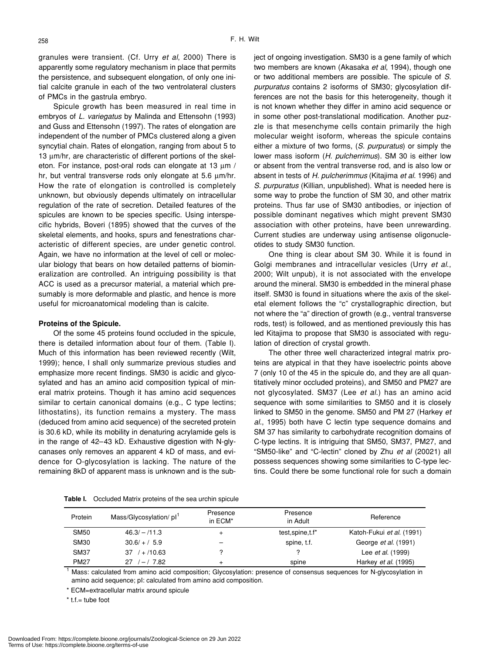granules were transient. (Cf. Urry *et al*, 2000) There is apparently some regulatory mechanism in place that permits the persistence, and subsequent elongation, of only one initial calcite granule in each of the two ventrolateral clusters of PMCs in the gastrula embryo.

Spicule growth has been measured in real time in embryos of *L. variegatus* by Malinda and Ettensohn (1993) and Guss and Ettensohn (1997). The rates of elongation are independent of the number of PMCs clustered along a given syncytial chain. Rates of elongation, ranging from about 5 to 13  $\mu$ m/hr, are characteristic of different portions of the skeleton. For instance, post-oral rods can elongate at 13 µm / hr, but ventral transverse rods only elongate at 5.6  $\mu$ m/hr. How the rate of elongation is controlled is completely unknown, but obviously depends ultimately on intracellular regulation of the rate of secretion. Detailed features of the spicules are known to be species specific. Using interspecific hybrids, Boveri (1895) showed that the curves of the skeletal elements, and hooks, spurs and fenestrations characteristic of different species, are under genetic control. Again, we have no information at the level of cell or molecular biology that bears on how detailed patterns of biomineralization are controlled. An intriguing possibility is that ACC is used as a precursor material, a material which presumably is more deformable and plastic, and hence is more useful for microanatomical modeling than is calcite.

#### **Proteins of the Spicule.**

Of the some 45 proteins found occluded in the spicule, there is detailed information about four of them. (Table I). Much of this information has been reviewed recently (Wilt, 1999); hence, I shall only summarize previous studies and emphasize more recent findings. SM30 is acidic and glycosylated and has an amino acid composition typical of mineral matrix proteins. Though it has amino acid sequences similar to certain canonical domains (e.g., C type lectins; lithostatins), its function remains a mystery. The mass (deduced from amino acid sequence) of the secreted protein is 30.6 kD, while its mobility in denaturing acrylamide gels is in the range of 42–43 kD. Exhaustive digestion with N-glycanases only removes an apparent 4 kD of mass, and evidence for O-glycosylation is lacking. The nature of the remaining 8kD of apparent mass is unknown and is the subject of ongoing investigation. SM30 is a gene family of which two members are known (Akasaka *et al*, 1994), though one or two additional members are possible. The spicule of *S. purpuratus* contains 2 isoforms of SM30; glycosylation differences are not the basis for this heterogeneity, though it is not known whether they differ in amino acid sequence or in some other post-translational modification. Another puzzle is that mesenchyme cells contain primarily the high molecular weight isoform, whereas the spicule contains either a mixture of two forms, (*S. purpuratus*) or simply the lower mass isoform (*H. pulcherrimus*). SM 30 is either low or absent from the ventral transverse rod, and is also low or absent in tests of *H. pulcherimmus* (Kitajima *et al*. 1996) and *S. purpuratus* (Killian, unpublished). What is needed here is some way to probe the function of SM 30, and other matrix proteins. Thus far use of SM30 antibodies, or injection of possible dominant negatives which might prevent SM30 association with other proteins, have been unrewarding. Current studies are underway using antisense oligonucleotides to study SM30 function.

One thing is clear about SM 30. While it is found in Golgi membranes and intracellular vesicles (Urry *et al*., 2000; Wilt unpub), it is not associated with the envelope around the mineral. SM30 is embedded in the mineral phase itself. SM30 is found in situations where the axis of the skeletal element follows the "c" crystallographic direction, but not where the "a" direction of growth (e.g., ventral transverse rods, test) is followed, and as mentioned previously this has led Kitajima to propose that SM30 is associated with regulation of direction of crystal growth.

The other three well characterized integral matrix proteins are atypical in that they have isoelectric points above 7 (only 10 of the 45 in the spicule do, and they are all quantitatively minor occluded proteins), and SM50 and PM27 are not glycosylated. SM37 (Lee *et al*.) has an amino acid sequence with some similarities to SM50 and it is closely linked to SM50 in the genome. SM50 and PM 27 (Harkey *et al.*, 1995) both have C lectin type sequence domains and SM 37 has similarity to carbohydrate recognition domains of C-type lectins. It is intriguing that SM50, SM37, PM27, and "SM50-like" and "C-lectin" cloned by Zhu *et al* (20021) all possess sequences showing some similarities to C-type lectins. Could there be some functional role for such a domain

**Table I.** Occluded Matrix proteins of the sea urchin spicule

| Protein     | Mass/Glycosylation/pl <sup>1</sup> | Presence<br>in ECM* | Presence<br>in Adult | Reference                   |
|-------------|------------------------------------|---------------------|----------------------|-----------------------------|
| <b>SM50</b> | $46.3/-/11.3$                      | $\ddot{}$           | test, spine, t.f*    | Katoh-Fukui et al. (1991)   |
| <b>SM30</b> | $30.6/+/5.9$                       | -                   | spine, t.f.          | George et al. (1991)        |
| <b>SM37</b> | $/ + 10.63$<br>37                  | ?                   |                      | Lee <i>et al.</i> (1999)    |
| <b>PM27</b> | / - / 7.82<br>27                   | $\div$              | spine                | Harkey <i>et al.</i> (1995) |

<sup>1</sup> Mass: calculated from amino acid composition; Glycosylation: presence of consensus sequences for N-glycosylation in amino acid sequence; pI: calculated from amino acid composition.

\* ECM=extracellular matrix around spicule

\* t.f.= tube foot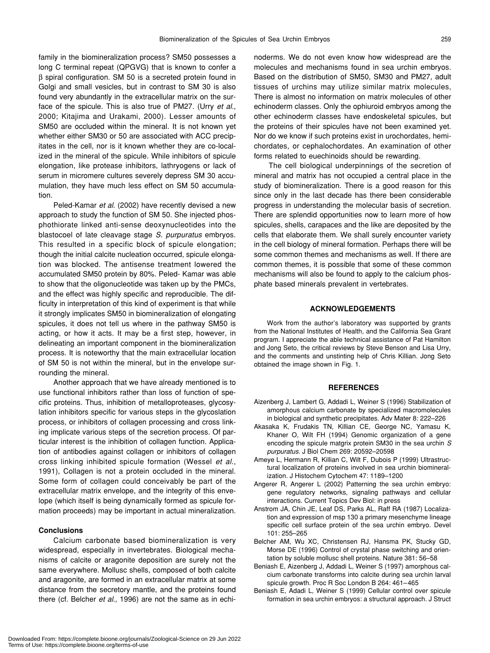family in the biomineralization process? SM50 possesses a long C terminal repeat (QPGVG) that is known to confer a β spiral configuration. SM 50 is a secreted protein found in Golgi and small vesicles, but in contrast to SM 30 is also found very abundantly in the extracellular matrix on the surface of the spicule. This is also true of PM27. (Urry *et al*., 2000; Kitajima and Urakami, 2000). Lesser amounts of SM50 are occluded within the mineral. It is not known yet whether either SM30 or 50 are associated with ACC precipitates in the cell, nor is it known whether they are co-localized in the mineral of the spicule. While inhibitors of spicule elongation, like protease inhibitors, lathryogens or lack of serum in micromere cultures severely depress SM 30 accumulation, they have much less effect on SM 50 accumulation.

Peled-Kamar *et al*. (2002) have recently devised a new approach to study the function of SM 50. She injected phosphothiorate linked anti-sense deoxynucleotides into the blastocoel of late cleavage stage *S. purpuratus* embryos. This resulted in a specific block of spicule elongation; though the initial calcite nucleation occurred, spicule elongation was blocked. The antisense treatment lowered the accumulated SM50 protein by 80%. Peled- Kamar was able to show that the oligonucleotide was taken up by the PMCs, and the effect was highly specific and reproducible. The difficulty in interpretation of this kind of experiment is that while it strongly implicates SM50 in biomineralization of elongating spicules, it does not tell us where in the pathway SM50 is acting, or how it acts. It may be a first step, however, in delineating an important component in the biomineralization process. It is noteworthy that the main extracellular location of SM 50 is not within the mineral, but in the envelope surrounding the mineral.

Another approach that we have already mentioned is to use functional inhibitors rather than loss of function of specific proteins. Thus, inhibition of metalloproteases, glycosylation inhibitors specific for various steps in the glycoslation process, or inhibitors of collagen processing and cross linking implicate various steps of the secretion process. Of particular interest is the inhibition of collagen function. Application of antibodies against collagen or inhibitors of collagen cross linking inhibited spicule formation (Wessel *et al*., 1991), Collagen is not a protein occluded in the mineral. Some form of collagen could conceivably be part of the extracellular matrix envelope, and the integrity of this envelope (which itself is being dynamically formed as spicule formation proceeds) may be important in actual mineralization.

#### **Conclusions**

Calcium carbonate based biomineralization is very widespread, especially in invertebrates. Biological mechanisms of calcite or aragonite deposition are surely not the same everywhere. Mollusc shells, composed of both calcite and aragonite, are formed in an extracellular matrix at some distance from the secretory mantle, and the proteins found there (cf. Belcher *et al*., 1996) are not the same as in echinoderms. We do not even know how widespread are the molecules and mechanisms found in sea urchin embryos. Based on the distribution of SM50, SM30 and PM27, adult tissues of urchins may utilize similar matrix molecules, There is almost no information on matrix molecules of other echinoderm classes. Only the ophiuroid embryos among the other echinoderm classes have endoskeletal spicules, but the proteins of their spicules have not been examined yet. Nor do we know if such proteins exist in urochordates, hemichordates, or cephalochordates. An examination of other forms related to euechinoids should be rewarding.

The cell biological underpinnings of the secretion of mineral and matrix has not occupied a central place in the study of biomineralization. There is a good reason for this since only in the last decade has there been considerable progress in understanding the molecular basis of secretion. There are splendid opportunities now to learn more of how spicules, shells, carapaces and the like are deposited by the cells that elaborate them. We shall surely encounter variety in the cell biology of mineral formation. Perhaps there will be some common themes and mechanisms as well. If there are common themes, it is possible that some of these common mechanisms will also be found to apply to the calcium phosphate based minerals prevalent in vertebrates.

#### **ACKNOWLEDGEMENTS**

Work from the author's laboratory was supported by grants from the National Institutes of Health, and the California Sea Grant program. I appreciate the able technical assistance of Pat Hamilton and Jong Seto, the critical reviews by Steve Benson and Lisa Urry, and the comments and unstinting help of Chris Killian. Jong Seto obtained the image shown in Fig. 1.

#### **REFERENCES**

- Aizenberg J, Lambert G, Addadi L, Weiner S (1996) Stabilization of amorphous calcium carbonate by specialized macromolecules in biological and synthetic precipitates. Adv Mater 8: 222–226
- Akasaka K, Frudakis TN, Killian CE, George NC, Yamasu K, Khaner O, Wilt FH (1994) Genomic organization of a gene encoding the spicule matgrix protein SM30 in the sea urchin *S purpuratus.* J Biol Chem 269: 20592–20598
- Ameye L, Hermann R, Killian C, Wilt F, Dubois P (1999) Ultrastructural localization of proteins involved in sea urchin biomineralization. J Histochem Cytochem 47: 1189–1200
- Angerer R, Angerer L (2002) Patterning the sea urchin embryo: gene regulatory networks, signaling pathways and cellular interactions. Current Topics Dev Biol: in press
- Anstrom JA, Chin JE, Leaf DS, Parks AL, Raff RA (1987) Localization and expression of msp 130 a primary mesenchyme lineage specific cell surface protein of the sea urchin embryo. Devel 101: 255–265
- Belcher AM, Wu XC, Christensen RJ, Hansma PK, Stucky GD, Morse DE (1996) Control of crystal phase switching and orientation by soluble mollusc shell proteins. Nature 381: 56–58
- Beniash E, Aizenberg J, Addadi L, Weiner S (1997) amorphous calcium carbonate transforms into calcite during sea urchin larval spicule growth. Proc R Soc London B 264: 461–465
- Beniash E, Adadi L, Weiner S (1999) Cellular control over spicule formation in sea urchin embryos: a structural approach. J Struct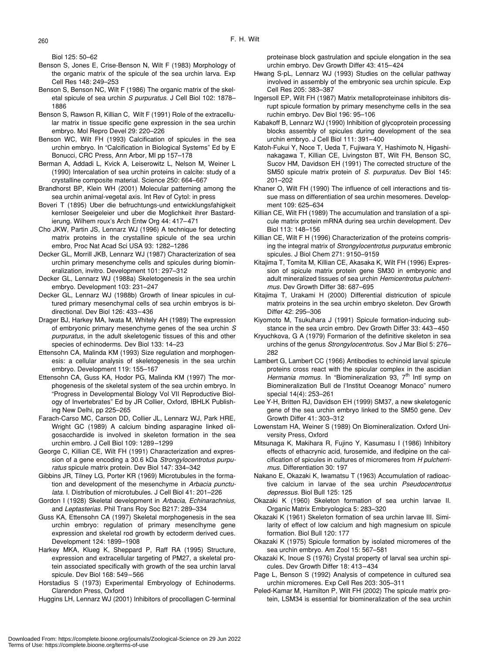Biol 125: 50–62

- Benson S, Jones E, Crise-Benson N, Wilt F (1983) Morphology of the organic matrix of the spicule of the sea urchin larva. Exp Cell Res 148: 249–253
- Benson S, Benson NC, Wilt F (1986) The organic matrix of the skeletal spicule of sea urchin *S purpuratus*. J Cell Biol 102: 1878– 1886
- Benson S, Rawson R, Killian C, Wilt F (1991) Role of the extracellular matrix in tissue specific gene expression in the sea urchin embryo. Mol Repro Devel 29: 220–226
- Benson WC, Wilt FH (1993) Calcification of spicules in the sea urchin embryo. In "Calcification in Biological Systems" Ed by E Bonucci, CRC Press, Ann Arbor, MI pp 157–178
- Berman A, Addadi L, Kvick A, Leiserowitz L, Nelson M, Weiner L (1990) Intercalation of sea urchin proteins in calcite: study of a crystalline composite material. Science 250: 664–667
- Brandhorst BP, Klein WH (2001) Molecular patterning among the sea urchin animal-vegetal axis. Int Rev of Cytol: in press
- Boveri T (1895) Uber die befruchtungs-und entwicklungsfahigkeit kernloser Seeigeleier und uber die Moglichkeit ihrer Bastardierung. Wilhem roux's Arch Entw Org 44: 417–471
- Cho JKW, Partin JS, Lennarz WJ (1996) A technique for detecting matrix proteins in the crystalline spicule of the sea urchin embro, Proc Nat Acad Sci USA 93: 1282–1286
- Decker GL, Morrill JKB, Lennarz WJ (1987) Characterization of sea urchin primary mesenchyme cells and spicules during biomineralization, invitro. Development 101: 297–312
- Decker GL, Lennarz WJ (1988a) Skeletogenesis in the sea urchin embryo. Development 103: 231–247
- Decker GL, Lennarz WJ (1988b) Growth of linear spicules in cultured primary mesenchymal cells of sea urchin embryos is bidirectional. Dev Biol 126: 433–436
- Drager BJ, Harkey MA, Iwata M, Whitely AH (1989) The expression of embryonic primary mesenchyme genes of the sea urchin *S purpuratus*, in the adult skeletogenic tissues of this and other species of echinoderms. Dev Biol 133: 14–23
- Ettensohn CA, Malinda KM (1993) Size regulation and morphogenesis: a cellular analysis of skeletogenesis in the sea urchin embryo. Development 119: 155–167
- Ettensohn CA, Guss KA, Hodor PG, Malinda KM (1997) The morphogenesis of the skeletal system of the sea urchin embryo. In "Progress in Developmental Biology Vol VII Reproductive Biology of Invertebrates" Ed by JR Collier, Oxford, IBHLK Publishing New Delhi, pp 225–265
- Farach-Carso MC, Carson DD, Collier JL, Lennarz WJ, Park HRE, Wright GC (1989) A calcium binding asparagine linked oligosacchardide is involved in skeleton formation in the sea urchin embro. J Cell Biol 109: 1289–1299
- George C, Killian CE, Wilt FH (1991) Characterization and expression of a gene encoding a 30.6 kDa *Strongylocentrotus purpuratus* spicule matrix protein. Dev Biol 147: 334–342
- Gibbins JR, Tilney LG, Porter KR (1969) Microtubules in the formation and development of the mesenchyme in *Arbacia punctulata.* I. Distribution of microtubules. J Cell Biol 41: 201–226
- Gordon I (1928) Skeletal development in *Arbacia, Echinarachnius,* and *Leptasterias*. Phil Trans Roy Soc B217: 289–334
- Guss KA, Ettensohn CA (1997) Skeletal morphogenesis in the sea urchin embryo: regulation of primary mesenclhyme gene expression and skeletal rod growth by ectoderm derived cues. Development 124: 1899–1908
- Harkey MKA, Klueg K, Sheppard P, Raff RA (1995) Structure, expression and extracellular targeting of PM27, a skeletal protein associated specifically with growth of the sea urchin larval spicule. Dev Biol 168: 549–566
- Horstadius S (1973) Experimental Embryology of Echinoderms. Clarendon Press, Oxford
- Huggins LH, Lennarz WJ (2001) Inhibitors of procollagen C-terminal

proteinase block gastrulation and spciule elongation in the sea urchin embryo. Dev Growth Differ 43: 415–424

- Hwang S-pL, Lennarz WJ (1993) Studies on the cellular pathway involved in assembly of the embryonic sea urchin spicule. Exp Cell Res 205: 383–387
- Ingersoll EP, Wilt FH (1987) Matrix metalloproteinase inhibitors disrupt spicule formation by primary mesenchyme cells in the sea ruchin embryo. Dev Biol 196: 95–106
- Kabakoff B, Lennarz WJ (1990) Inhibition of glycoprotein processing blocks assembly of spicules during development of the sea urchin embryo. J Cell Biol 111: 391–400
- Katoh-Fukui Y, Noce T, Ueda T, Fujiwara Y, Hashimoto N, Higashinakagawa T, Killian CE, Livingston BT, Wilt FH, Benson SC, Sucov HM, Davidson EH (1991) The corrected structure of the SM50 spicule matrix protein of *S. purpuratus*. Dev Biol 145: 201–202
- Khaner O, Wilt FH (1990) The influence of cell interactions and tissue mass on differentiation of sea urchin mesomeres. Development 109: 625–634
- Killian CE, Wilt FH (1989) The accumulation and translation of a spicule matrix protein mRNA during sea urchin development. Dev Biol 113: 148–156
- Killian CE, Wilt F H (1996) Characterization of the proteins comprising the integral matrix of *Strongylocentrotus purpuratus* embronic spicules. J Biol Chem 271: 9150–9159
- Kitajima T, Tomita M, Killian CE, Akasaka K, Wilt FH (1996) Expression of spicule matrix protein gene SM30 in embryonic and adult mineralized tissues of sea urchin *Hemicentrotus pulcherrimus.* Dev Growth Differ 38: 687–695
- Kitajima T, Urakami H (2000) Differential districution of spicule matrix proteins in the sea urchin embryo skeleton. Dev Growth Differ 42: 295–306
- Kiyomoto M, Tsukuhara J (1991) Spicule formation-inducing substance in the sea urcin embro. Dev Growth Differ 33: 443–450
- Kryuchkova, G A (1979) Formarion of the definitive skeleton in sea urchins of the genus *Strongylocentrotus*. Sov J Mar Biol 5: 276– 282
- Lambert G, Lambert CC (1966) Antibodies to echinoid larval spicule proteins cross react with the spicular complex in the ascidian *Hermania momus*. In "Biomineralization 93, 7<sup>th</sup> Intl symp on Biomineralization Bull de l'Institut Oceanogr Monaco" numero special 14(4): 253–261
- Lee Y-H, Britten RJ, Davidson EH (1999) SM37, a new skeletogenic gene of the sea urchin embryo linked to the SM50 gene. Dev Growth Differ 41: 303–312
- Lowenstam HA, Weiner S (1989) On Biomineralization. Oxford University Press, Oxford
- Mitsunaga K, Makihara R, Fujino Y, Kasumasu I (1986) Inhibitory effects of ethacrynic acid, furosemide, and ifedipine on the calcification of spicules in cultures of micromeres from *H pulcherrimus*. Differentiation 30: 197
- Nakano E, Okazaki K, Iwamatsu T (1963) Accumulation of radioactive calcium in larvae of the sea urchin *Pseudocentrotus depressus.* Biol Bull 125: 125
- Okazaki K (1960) Skeleton formation of sea urchin larvae II. Organic Matrix Embryologica 5: 283–320
- Okazaki K (1961) Skeleton formation of sea urchin larvae III. Similarity of effect of low calcium and high magnesium on spicule formation. Biol Bull 120: 177
- Okazaki K (1975) Spicule formation by isolated micromeres of the sea urchin embryo. Am Zool 15: 567–581
- Okazaki K, Inoue S (1976) Crystal property of larval sea urchin spicules. Dev Growth Differ 18: 413–434
- Page L, Benson S (1992) Analysis of competence in cultured sea urchin micromeres. Exp Cell Res 203: 305–311
- Peled-Kamar M, Hamilton P, Wilt FH (2002) The spicule matrix protein, LSM34 is essential for biomineralization of the sea urchin